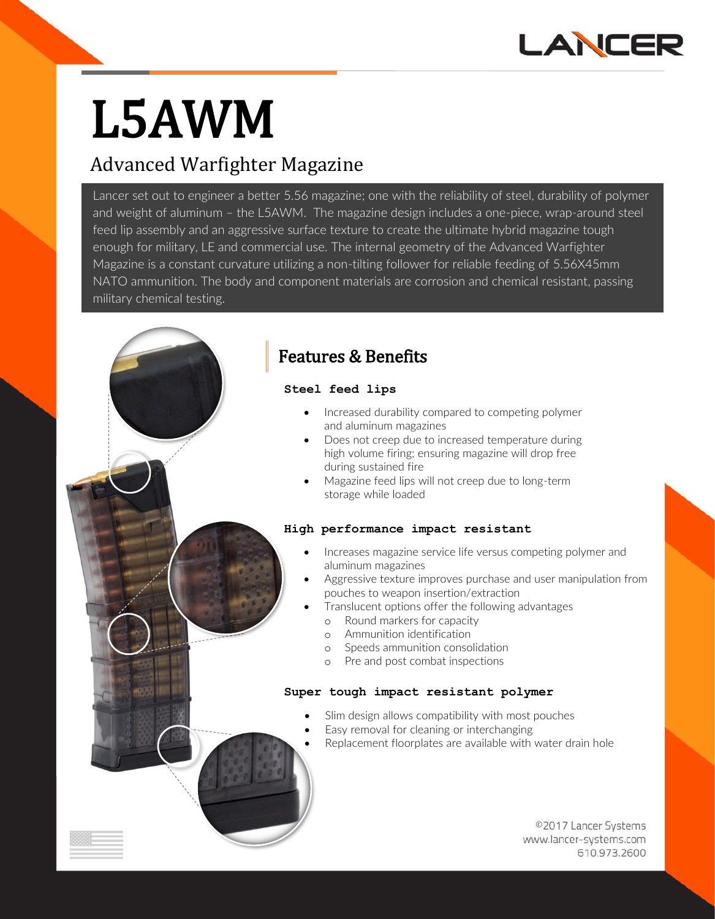

# **L5AWM**

# Advanced Warfighter Magazine

Lancer set out to engineer a better 5.56 magazine; one with the reliability of steel, durability of polymer and weight of aluminum – the L5AWM. The magazine design includes a one-piece, wrap-around steel feed lip assembly and an aggressive surface texture to create the ultimate hybrid magazine tough enough for military, LE and commercial use. The internal geometry of the Advanced Warfighter Magazine is a constant curvature utilizing a non-tilting follower for reliable feeding of 5.56X45mm NATO ammunition. The body and component materials are corrosion and chemical resistant, passing military chemical testing.



# **Steel feed lips**

- Increased durability compared to competing polymer and aluminum magazines
- Does not creep due to increased temperature during high volume firing; ensuring magazine will drop free during sustained fire
- Magazine feed lips will not creep due to long-term storage while loaded

## **High performance impact resistant**

- **•** Increases magazine service life versus competing polymer and aluminum magazines
	- Aggressive texture improves purchase and user manipulation from pouches to weapon insertion/extraction
	- Translucent options offer the following advantages
		- o Round markers for capacity
		- o Ammunition identification
		- o Speeds ammunition consolidation
		- Pre and post combat inspections

# **Super tough impact resistant polymer**

- **•** Slim design allows compatibility with most pouches
	- Easy removal for cleaning or interchanging
	- Replacement floorplates are available with water drain hole

©2017 Lancer Systems www.lancer-systems.com 610.973.2600